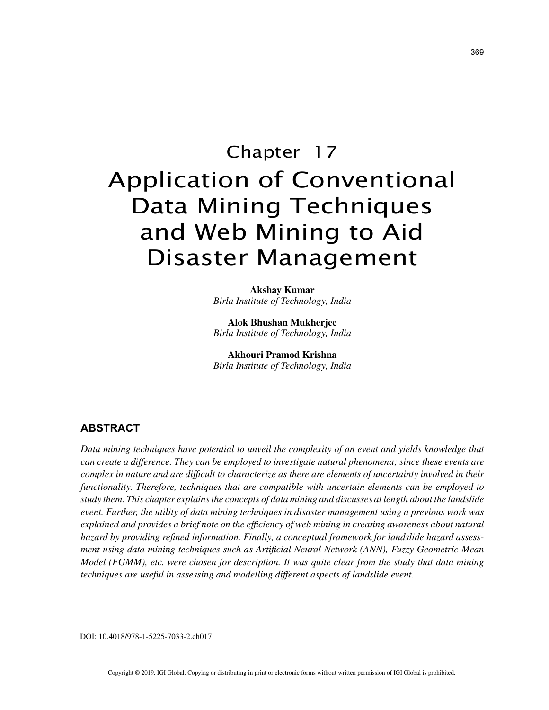# Chapter 17

# Application of Conventional Data Mining Techniques and Web Mining to Aid Disaster Management

**Akshay Kumar** *Birla Institute of Technology, India*

**Alok Bhushan Mukherjee** *Birla Institute of Technology, India*

**Akhouri Pramod Krishna** *Birla Institute of Technology, India*

# **ABSTRACT**

*Data mining techniques have potential to unveil the complexity of an event and yields knowledge that can create a difference. They can be employed to investigate natural phenomena; since these events are complex in nature and are difficult to characterize as there are elements of uncertainty involved in their functionality. Therefore, techniques that are compatible with uncertain elements can be employed to study them. This chapter explains the concepts of data mining and discusses at length about the landslide event. Further, the utility of data mining techniques in disaster management using a previous work was explained and provides a brief note on the efficiency of web mining in creating awareness about natural hazard by providing refined information. Finally, a conceptual framework for landslide hazard assessment using data mining techniques such as Artificial Neural Network (ANN), Fuzzy Geometric Mean Model (FGMM), etc. were chosen for description. It was quite clear from the study that data mining techniques are useful in assessing and modelling different aspects of landslide event.*

DOI: 10.4018/978-1-5225-7033-2.ch017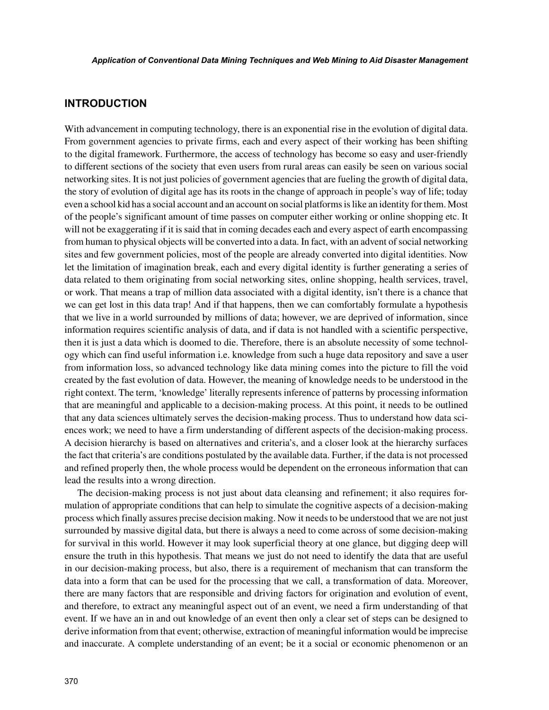### **INTRODUCTION**

With advancement in computing technology, there is an exponential rise in the evolution of digital data. From government agencies to private firms, each and every aspect of their working has been shifting to the digital framework. Furthermore, the access of technology has become so easy and user-friendly to different sections of the society that even users from rural areas can easily be seen on various social networking sites. It is not just policies of government agencies that are fueling the growth of digital data, the story of evolution of digital age has its roots in the change of approach in people's way of life; today even a school kid has a social account and an account on social platforms is like an identity for them. Most of the people's significant amount of time passes on computer either working or online shopping etc. It will not be exaggerating if it is said that in coming decades each and every aspect of earth encompassing from human to physical objects will be converted into a data. In fact, with an advent of social networking sites and few government policies, most of the people are already converted into digital identities. Now let the limitation of imagination break, each and every digital identity is further generating a series of data related to them originating from social networking sites, online shopping, health services, travel, or work. That means a trap of million data associated with a digital identity, isn't there is a chance that we can get lost in this data trap! And if that happens, then we can comfortably formulate a hypothesis that we live in a world surrounded by millions of data; however, we are deprived of information, since information requires scientific analysis of data, and if data is not handled with a scientific perspective, then it is just a data which is doomed to die. Therefore, there is an absolute necessity of some technology which can find useful information i.e. knowledge from such a huge data repository and save a user from information loss, so advanced technology like data mining comes into the picture to fill the void created by the fast evolution of data. However, the meaning of knowledge needs to be understood in the right context. The term, 'knowledge' literally represents inference of patterns by processing information that are meaningful and applicable to a decision-making process. At this point, it needs to be outlined that any data sciences ultimately serves the decision-making process. Thus to understand how data sciences work; we need to have a firm understanding of different aspects of the decision-making process. A decision hierarchy is based on alternatives and criteria's, and a closer look at the hierarchy surfaces the fact that criteria's are conditions postulated by the available data. Further, if the data is not processed and refined properly then, the whole process would be dependent on the erroneous information that can lead the results into a wrong direction.

The decision-making process is not just about data cleansing and refinement; it also requires formulation of appropriate conditions that can help to simulate the cognitive aspects of a decision-making process which finally assures precise decision making. Now it needs to be understood that we are not just surrounded by massive digital data, but there is always a need to come across of some decision-making for survival in this world. However it may look superficial theory at one glance, but digging deep will ensure the truth in this hypothesis. That means we just do not need to identify the data that are useful in our decision-making process, but also, there is a requirement of mechanism that can transform the data into a form that can be used for the processing that we call, a transformation of data. Moreover, there are many factors that are responsible and driving factors for origination and evolution of event, and therefore, to extract any meaningful aspect out of an event, we need a firm understanding of that event. If we have an in and out knowledge of an event then only a clear set of steps can be designed to derive information from that event; otherwise, extraction of meaningful information would be imprecise and inaccurate. A complete understanding of an event; be it a social or economic phenomenon or an